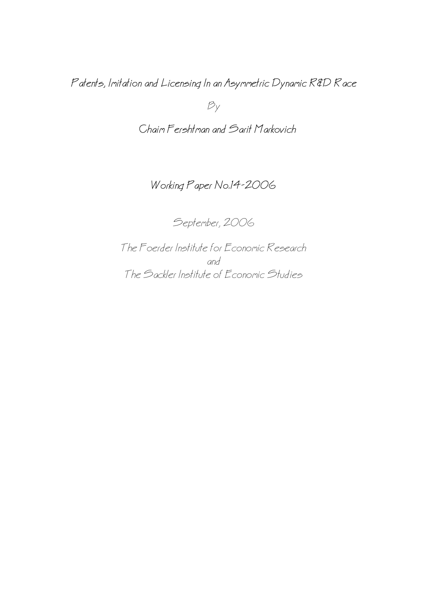Patents, Imitation and Licensing In an Asymmetric Dynamic R&D Race

 $B_y$ 

Chaim Fershtman and Sarit Markovich

# Working Paper No.14−2006

September, 2006

The Foerder Institute for Economic Research and The Sackler Institute of Economic Studies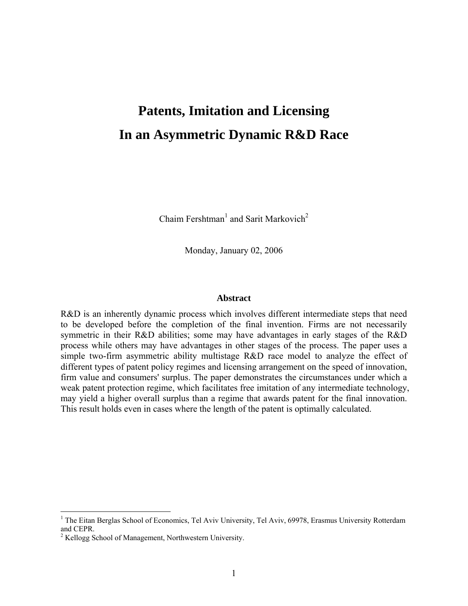# **Patents, Imitation and Licensing In an Asymmetric Dynamic R&D Race**

Chaim Fershtman<sup>[1](#page-1-0)</sup> and Sarit Markovich<sup>[2](#page-1-1)</sup>

Monday, January 02, 2006

#### **Abstract**

R&D is an inherently dynamic process which involves different intermediate steps that need to be developed before the completion of the final invention. Firms are not necessarily symmetric in their R&D abilities; some may have advantages in early stages of the R&D process while others may have advantages in other stages of the process. The paper uses a simple two-firm asymmetric ability multistage R&D race model to analyze the effect of different types of patent policy regimes and licensing arrangement on the speed of innovation, firm value and consumers' surplus. The paper demonstrates the circumstances under which a weak patent protection regime, which facilitates free imitation of any intermediate technology, may yield a higher overall surplus than a regime that awards patent for the final innovation. This result holds even in cases where the length of the patent is optimally calculated.

<span id="page-1-0"></span><sup>&</sup>lt;sup>1</sup> The Eitan Berglas School of Economics, Tel Aviv University, Tel Aviv, 69978, Erasmus University Rotterdam and CEPR.

<span id="page-1-1"></span><sup>&</sup>lt;sup>2</sup> Kellogg School of Management, Northwestern University.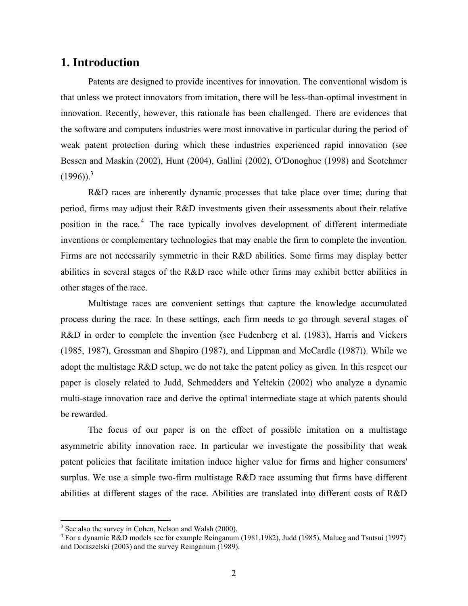# **1. Introduction**

Patents are designed to provide incentives for innovation. The conventional wisdom is that unless we protect innovators from imitation, there will be less-than-optimal investment in innovation. Recently, however, this rationale has been challenged. There are evidences that the software and computers industries were most innovative in particular during the period of weak patent protection during which these industries experienced rapid innovation (see Bessen and Maskin (2002), Hunt (2004), Gallini (2002), O'Donoghue (1998) and Scotchmer  $(1996)$ <sup>3</sup>

R&D races are inherently dynamic processes that take place over time; during that period, firms may adjust their R&D investments given their assessments about their relative positionin the race.<sup>4</sup> The race typically involves development of different intermediate inventions or complementary technologies that may enable the firm to complete the invention. Firms are not necessarily symmetric in their R&D abilities. Some firms may display better abilities in several stages of the R&D race while other firms may exhibit better abilities in other stages of the race.

Multistage races are convenient settings that capture the knowledge accumulated process during the race. In these settings, each firm needs to go through several stages of R&D in order to complete the invention (see Fudenberg et al. (1983), Harris and Vickers (1985, 1987), Grossman and Shapiro (1987), and Lippman and McCardle (1987)). While we adopt the multistage R&D setup, we do not take the patent policy as given. In this respect our paper is closely related to Judd, Schmedders and Yeltekin (2002) who analyze a dynamic multi-stage innovation race and derive the optimal intermediate stage at which patents should be rewarded.

The focus of our paper is on the effect of possible imitation on a multistage asymmetric ability innovation race. In particular we investigate the possibility that weak patent policies that facilitate imitation induce higher value for firms and higher consumers' surplus. We use a simple two-firm multistage R&D race assuming that firms have different abilities at different stages of the race. Abilities are translated into different costs of R&D

 $3\overline{\smash)3}$  See also the survey in Cohen, Nelson and Walsh (2000).

<span id="page-2-1"></span><span id="page-2-0"></span>For a dynamic R&D models see for example Reinganum (1981,1982), Judd (1985), Malueg and Tsutsui (1997) and Doraszelski (2003) and the survey Reinganum (1989).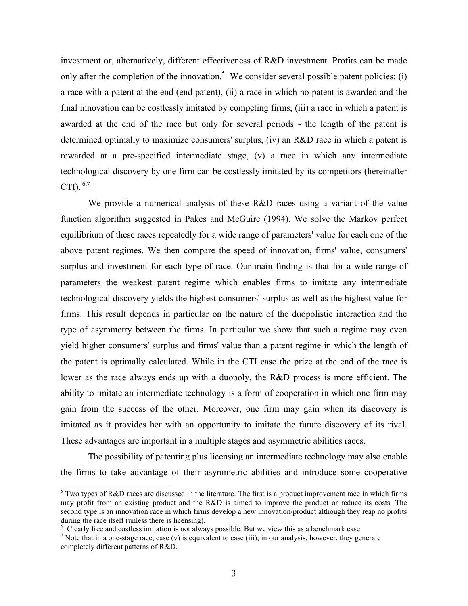investment or, alternatively, different effectiveness of R&D investment. Profits can be made only after the completion of the innovation.<sup>5</sup> We consider several possible patent policies: (i) a race with a patent at the end (end patent), (ii) a race in which no patent is awarded and the final innovation can be costlessly imitated by competing firms, (iii) a race in which a patent is awarded at the end of the race but only for several periods - the length of the patent is determined optimally to maximize consumers' surplus, (iv) an R&D race in which a patent is rewarded at a pre-specified intermediate stage, (v) a race in which any intermediate technological discovery by one firm can be costlessly imitated by its competitors (hereinafter CTI).  $6,7$  $6,7$ 

We provide a numerical analysis of these R&D races using a variant of the value function algorithm suggested in Pakes and McGuire (1994). We solve the Markov perfect equilibrium of these races repeatedly for a wide range of parameters' value for each one of the above patent regimes. We then compare the speed of innovation, firms' value, consumers' surplus and investment for each type of race. Our main finding is that for a wide range of parameters the weakest patent regime which enables firms to imitate any intermediate technological discovery yields the highest consumers' surplus as well as the highest value for firms. This result depends in particular on the nature of the duopolistic interaction and the type of asymmetry between the firms. In particular we show that such a regime may even yield higher consumers' surplus and firms' value than a patent regime in which the length of the patent is optimally calculated. While in the CTI case the prize at the end of the race is lower as the race always ends up with a duopoly, the R&D process is more efficient. The ability to imitate an intermediate technology is a form of cooperation in which one firm may gain from the success of the other. Moreover, one firm may gain when its discovery is imitated as it provides her with an opportunity to imitate the future discovery of its rival. These advantages are important in a multiple stages and asymmetric abilities races.

The possibility of patenting plus licensing an intermediate technology may also enable the firms to take advantage of their asymmetric abilities and introduce some cooperative

 $\overline{a}$ 

<span id="page-3-0"></span> $<sup>5</sup>$  Two types of R&D races are discussed in the literature. The first is a product improvement race in which firms</sup> may profit from an existing product and the R&D is aimed to improve the product or reduce its costs. The second type is an innovation race in which firms develop a new innovation/product although they reap no profits during the race itself (unless there is licensing).

<span id="page-3-1"></span> $6$  Clearly free and costless imitation is not always possible. But we view this as a benchmark case.

<span id="page-3-2"></span>Note that in a one-stage race, case (v) is equivalent to case (iii); in our analysis, however, they generate completely different patterns of R&D.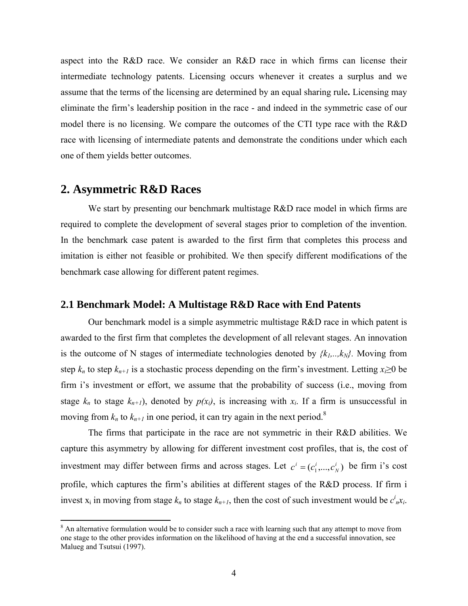aspect into the R&D race. We consider an R&D race in which firms can license their intermediate technology patents. Licensing occurs whenever it creates a surplus and we assume that the terms of the licensing are determined by an equal sharing rule**.** Licensing may eliminate the firm's leadership position in the race - and indeed in the symmetric case of our model there is no licensing. We compare the outcomes of the CTI type race with the R&D race with licensing of intermediate patents and demonstrate the conditions under which each one of them yields better outcomes.

## **2. Asymmetric R&D Races**

We start by presenting our benchmark multistage R&D race model in which firms are required to complete the development of several stages prior to completion of the invention. In the benchmark case patent is awarded to the first firm that completes this process and imitation is either not feasible or prohibited. We then specify different modifications of the benchmark case allowing for different patent regimes.

#### **2.1 Benchmark Model: A Multistage R&D Race with End Patents**

Our benchmark model is a simple asymmetric multistage R&D race in which patent is awarded to the first firm that completes the development of all relevant stages. An innovation is the outcome of N stages of intermediate technologies denoted by  $\{k_1, \ldots, k_N\}$ . Moving from step  $k_n$  to step  $k_{n+1}$  is a stochastic process depending on the firm's investment. Letting  $x_i \ge 0$  be firm i's investment or effort, we assume that the probability of success (i.e., moving from stage  $k_n$  to stage  $k_{n+1}$ ), denoted by  $p(x_i)$ , is increasing with  $x_i$ . If a firm is unsuccessful in moving from  $k_n$  to  $k_{n+1}$  in one period, it can try again in the next period.<sup>[8](#page-4-0)</sup>

The firms that participate in the race are not symmetric in their R&D abilities. We capture this asymmetry by allowing for different investment cost profiles, that is, the cost of investment may differ between firms and across stages. Let  $c^i = (c_1^i, ..., c_N^i)$  be firm i's cost profile, which captures the firm's abilities at different stages of the R&D process. If firm i invest  $x_i$  in moving from stage  $k_n$  to stage  $k_{n+1}$ , then the cost of such investment would be  $c^i_{n}x_i$ .  $c^i = (c^i_1, ..., c^i_N)$ 

<span id="page-4-0"></span><sup>&</sup>lt;sup>8</sup> An alternative formulation would be to consider such a race with learning such that any attempt to move from one stage to the other provides information on the likelihood of having at the end a successful innovation, see Malueg and Tsutsui (1997).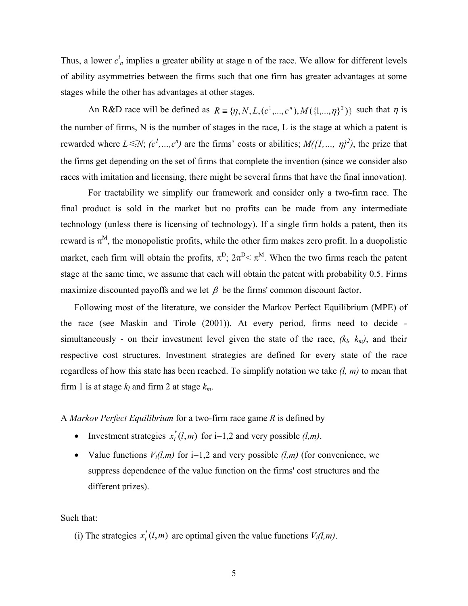Thus, a lower  $c^i$ <sub>n</sub> implies a greater ability at stage n of the race. We allow for different levels of ability asymmetries between the firms such that one firm has greater advantages at some stages while the other has advantages at other stages.

An R&D race will be defined as  $R = \{\eta, N, L, (c^1, ..., c^n), M(\{1, ..., \eta\})^2\}$  such that  $\eta$  is the number of firms, N is the number of stages in the race, L is the stage at which a patent is rewarded where  $L \le N$ ;  $(c^1, ..., c^n)$  are the firms' costs or abilities;  $M(\{1, ..., \eta\})^2$ , the prize that the firms get depending on the set of firms that complete the invention (since we consider also races with imitation and licensing, there might be several firms that have the final innovation).

For tractability we simplify our framework and consider only a two-firm race. The final product is sold in the market but no profits can be made from any intermediate technology (unless there is licensing of technology). If a single firm holds a patent, then its reward is  $\pi^M$ , the monopolistic profits, while the other firm makes zero profit. In a duopolistic market, each firm will obtain the profits,  $\pi^D$ ;  $2\pi^D < \pi^M$ . When the two firms reach the patent stage at the same time, we assume that each will obtain the patent with probability 0.5. Firms maximize discounted payoffs and we let  $\beta$  be the firms' common discount factor.

Following most of the literature, we consider the Markov Perfect Equilibrium (MPE) of the race (see Maskin and Tirole (2001)). At every period, firms need to decide simultaneously - on their investment level given the state of the race,  $(k_l, k_m)$ , and their respective cost structures. Investment strategies are defined for every state of the race regardless of how this state has been reached. To simplify notation we take *(l, m)* to mean that firm 1 is at stage  $k_l$  and firm 2 at stage  $k_m$ .

A *Markov Perfect Equilibrium* for a two-firm race game *R* is defined by

- Investment strategies  $x_i^*(l, m)$  for i=1,2 and very possible  $(l, m)$ .
- Value functions  $V_i(l,m)$  for i=1,2 and very possible  $(l,m)$  (for convenience, we suppress dependence of the value function on the firms' cost structures and the different prizes).

Such that:

(i) The strategies  $x_i^*(l, m)$  are optimal given the value functions  $V_i(l, m)$ .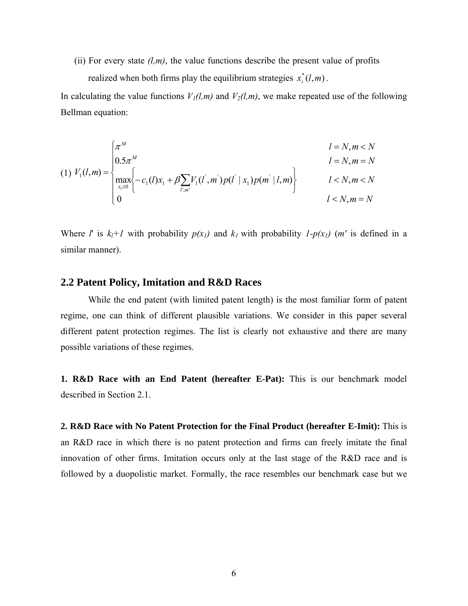(ii) For every state  $(l,m)$ , the value functions describe the present value of profits realized when both firms play the equilibrium strategies  $x_i^*(l, m)$ .

In calculating the value functions  $V_1(l,m)$  and  $V_2(l,m)$ , we make repeated use of the following Bellman equation:

$$
(1) V_1(l,m) = \begin{cases} \pi^M & l = N, m < N \\ 0.5\pi^M & l = N, m = N \\ \max_{x_1 \ge 0} \left\{ -c_1(l)x_1 + \beta \sum_{l',m'} V_1(l',m')p(l' | x_1)p(m' | l,m) \right\} & l < N, m < N \\ 0 & l < N, m = N \end{cases}
$$

Where *l'* is  $k_l+1$  with probability  $p(x_l)$  and  $k_l$  with probability  $1-p(x_l)$  (*m'* is defined in a similar manner).

#### **2.2 Patent Policy, Imitation and R&D Races**

While the end patent (with limited patent length) is the most familiar form of patent regime, one can think of different plausible variations. We consider in this paper several different patent protection regimes. The list is clearly not exhaustive and there are many possible variations of these regimes.

**1. R&D Race with an End Patent (hereafter E-Pat):** This is our benchmark model described in Section 2.1.

**2. R&D Race with No Patent Protection for the Final Product (hereafter E-Imit):** This is an R&D race in which there is no patent protection and firms can freely imitate the final innovation of other firms. Imitation occurs only at the last stage of the R&D race and is followed by a duopolistic market. Formally, the race resembles our benchmark case but we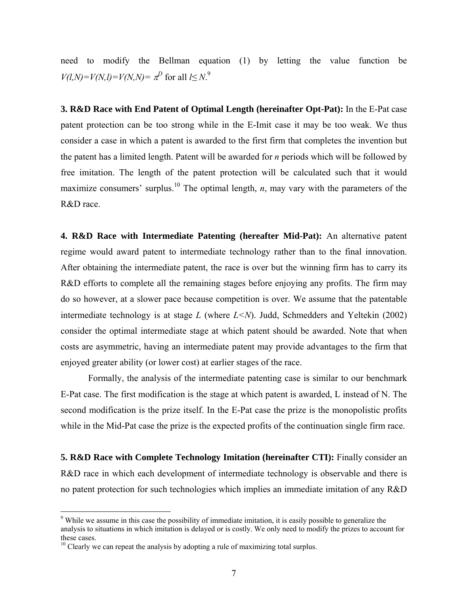need to modify the Bellman equation (1) by letting the value function be  $V(l,N) = V(N,l) = V(N,N) = \pi^D$  for all  $l \leq N$ .<sup>[9](#page-7-0)</sup>

**3. R&D Race with End Patent of Optimal Length (hereinafter Opt-Pat):** In the E-Pat case patent protection can be too strong while in the E-Imit case it may be too weak. We thus consider a case in which a patent is awarded to the first firm that completes the invention but the patent has a limited length. Patent will be awarded for *n* periods which will be followed by free imitation. The length of the patent protection will be calculated such that it would maximize consumers' surplus.<sup>10</sup> The optimal length, *n*, may vary with the parameters of the R&D race.

**4. R&D Race with Intermediate Patenting (hereafter Mid-Pat):** An alternative patent regime would award patent to intermediate technology rather than to the final innovation. After obtaining the intermediate patent, the race is over but the winning firm has to carry its R&D efforts to complete all the remaining stages before enjoying any profits. The firm may do so however, at a slower pace because competition is over. We assume that the patentable intermediate technology is at stage *L* (where *L<N*). Judd, Schmedders and Yeltekin (2002) consider the optimal intermediate stage at which patent should be awarded. Note that when costs are asymmetric, having an intermediate patent may provide advantages to the firm that enjoyed greater ability (or lower cost) at earlier stages of the race.

Formally, the analysis of the intermediate patenting case is similar to our benchmark E-Pat case. The first modification is the stage at which patent is awarded, L instead of N. The second modification is the prize itself. In the E-Pat case the prize is the monopolistic profits while in the Mid-Pat case the prize is the expected profits of the continuation single firm race.

**5. R&D Race with Complete Technology Imitation (hereinafter CTI):** Finally consider an R&D race in which each development of intermediate technology is observable and there is no patent protection for such technologies which implies an immediate imitation of any R&D

 $\overline{a}$ 

<span id="page-7-0"></span><sup>9</sup> While we assume in this case the possibility of immediate imitation, it is easily possible to generalize the analysis to situations in which imitation is delayed or is costly. We only need to modify the prizes to account for these cases.<br> $10$  Clearly we can repeat the analysis by adopting a rule of maximizing total surplus.

<span id="page-7-1"></span>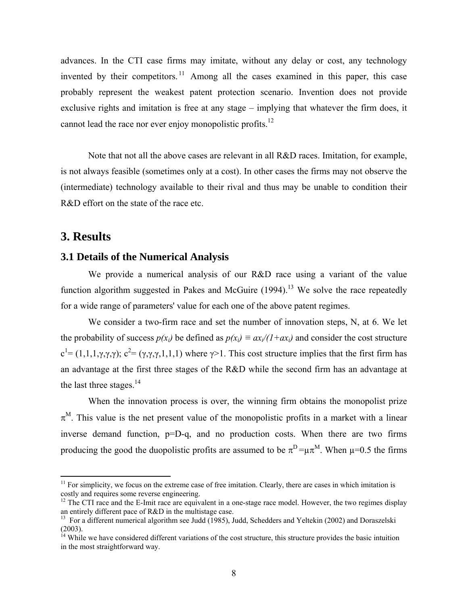advances. In the CTI case firms may imitate, without any delay or cost, any technology invented by their competitors.<sup>11</sup> Among all the cases examined in this paper, this case probably represent the weakest patent protection scenario. Invention does not provide exclusive rights and imitation is free at any stage – implying that whatever the firm does, it cannot lead the race nor ever enjoy monopolistic profits.<sup>12</sup>

Note that not all the above cases are relevant in all R&D races. Imitation, for example, is not always feasible (sometimes only at a cost). In other cases the firms may not observe the (intermediate) technology available to their rival and thus may be unable to condition their R&D effort on the state of the race etc.

# **3. Results**

 $\overline{a}$ 

#### **3.1 Details of the Numerical Analysis**

We provide a numerical analysis of our R&D race using a variant of the value function algorithm suggested in Pakes and McGuire  $(1994)$ .<sup>13</sup> We solve the race repeatedly for a wide range of parameters' value for each one of the above patent regimes.

We consider a two-firm race and set the number of innovation steps, N, at 6. We let the probability of success  $p(x_i)$  be defined as  $p(x_i) \equiv ax_i/(1+ax_i)$  and consider the cost structure  $c^{1} = (1,1,1,\gamma,\gamma,\gamma)$ ;  $c^{2} = (\gamma,\gamma,\gamma,1,1,1)$  where  $\gamma > 1$ . This cost structure implies that the first firm has an advantage at the first three stages of the R&D while the second firm has an advantage at the last three stages. $^{14}$ 

When the innovation process is over, the winning firm obtains the monopolist prize  $\pi^M$ . This value is the net present value of the monopolistic profits in a market with a linear inverse demand function, p=D-q, and no production costs. When there are two firms producing the good the duopolistic profits are assumed to be  $\pi^D = \mu \pi^M$ . When  $\mu = 0.5$  the firms

<span id="page-8-0"></span> $11$  For simplicity, we focus on the extreme case of free imitation. Clearly, there are cases in which imitation is

<span id="page-8-1"></span>costly and requires some reverse engineering.<br><sup>12</sup> The CTI race and the E-Imit race are equivalent in a one-stage race model. However, the two regimes display<br>an entirely different pace of R&D in the multistage case.

<span id="page-8-2"></span><sup>&</sup>lt;sup>13</sup> For a different numerical algorithm see Judd (1985), Judd, Schedders and Yeltekin (2002) and Doraszelski  $(2003)$ .<br><sup>14</sup> While we have considered different variations of the cost structure, this structure provides the basic intuition

<span id="page-8-3"></span>in the most straightforward way.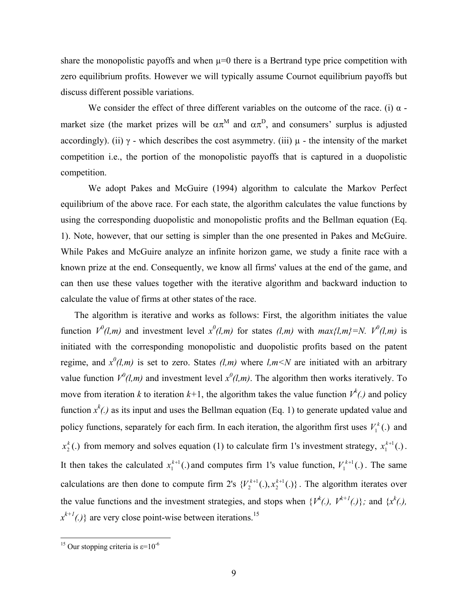share the monopolistic payoffs and when  $\mu=0$  there is a Bertrand type price competition with zero equilibrium profits. However we will typically assume Cournot equilibrium payoffs but discuss different possible variations.

We consider the effect of three different variables on the outcome of the race. (i)  $\alpha$  market size (the market prizes will be  $\alpha \pi^M$  and  $\alpha \pi^D$ , and consumers' surplus is adjusted accordingly). (ii)  $\gamma$  - which describes the cost asymmetry. (iii)  $\mu$  - the intensity of the market competition i.e., the portion of the monopolistic payoffs that is captured in a duopolistic competition.

We adopt Pakes and McGuire (1994) algorithm to calculate the Markov Perfect equilibrium of the above race. For each state, the algorithm calculates the value functions by using the corresponding duopolistic and monopolistic profits and the Bellman equation (Eq. 1). Note, however, that our setting is simpler than the one presented in Pakes and McGuire. While Pakes and McGuire analyze an infinite horizon game, we study a finite race with a known prize at the end. Consequently, we know all firms' values at the end of the game, and can then use these values together with the iterative algorithm and backward induction to calculate the value of firms at other states of the race.

The algorithm is iterative and works as follows: First, the algorithm initiates the value function  $V^0(l,m)$  and investment level  $x^0(l,m)$  for states  $(l,m)$  with  $max{l,m} = N$ .  $V^0(l,m)$  is initiated with the corresponding monopolistic and duopolistic profits based on the patent regime, and  $x^0(l,m)$  is set to zero. States  $(l,m)$  where  $l,m < N$  are initiated with an arbitrary value function  $V^0(l,m)$  and investment level  $x^0(l,m)$ . The algorithm then works iteratively. To move from iteration *k* to iteration  $k+1$ , the algorithm takes the value function  $V^k(.)$  and policy function  $x^k$ .) as its input and uses the Bellman equation (Eq. 1) to generate updated value and policy functions, separately for each firm. In each iteration, the algorithm first uses  $V_1^k(.)$  and  $x_2^k$ (.) from memory and solves equation (1) to calculate firm 1's investment strategy,  $x_1^{k+1}$ (.). It then takes the calculated  $x_1^{k+1}$ . and computes firm 1's value function,  $V_1^{k+1}$ . The same calculations are then done to compute firm 2's  $\{V_2^{k+1}(.)\}$ ,  $x_2^{k+1}(.)\}$ . The algorithm iterates over the value functions and the investment strategies, and stops when  $\{V^k(.), V^{k+1}(.)\}$ ; and  $\{x^k(.),$ 1  $V_2^{k+1}(.)$ ,  $x_2^{k+1}$  $x^{k+1}(.)$  are very close point-wise between iterations.<sup>15</sup>

 $\overline{a}$ 

<span id="page-9-0"></span><sup>&</sup>lt;sup>15</sup> Our stopping criteria is  $\varepsilon$ =10<sup>-6</sup>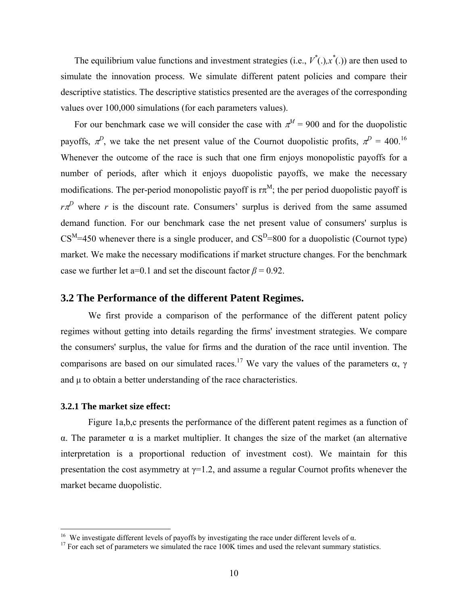The equilibrium value functions and investment strategies (i.e.,  $V^*(.)$ ,  $x^*(.)$ ) are then used to simulate the innovation process. We simulate different patent policies and compare their descriptive statistics. The descriptive statistics presented are the averages of the corresponding values over 100,000 simulations (for each parameters values).

For our benchmark case we will consider the case with  $\pi^M = 900$  and for the duopolistic payoffs,  $\pi^{D}$ , we take the net present value of the Cournot duopolistic profits,  $\pi^{D} = 400$ .<sup>[16](#page-10-0)</sup> Whenever the outcome of the race is such that one firm enjoys monopolistic payoffs for a number of periods, after which it enjoys duopolistic payoffs, we make the necessary modifications. The per-period monopolistic payoff is  $\pi^{M}$ ; the per period duopolistic payoff is  $r\pi$ <sup>D</sup> where *r* is the discount rate. Consumers' surplus is derived from the same assumed demand function. For our benchmark case the net present value of consumers' surplus is  $CS^M$ =450 whenever there is a single producer, and  $CS^D$ =800 for a duopolistic (Cournot type) market. We make the necessary modifications if market structure changes. For the benchmark case we further let a=0.1 and set the discount factor  $\beta = 0.92$ .

#### **3.2 The Performance of the different Patent Regimes.**

We first provide a comparison of the performance of the different patent policy regimes without getting into details regarding the firms' investment strategies. We compare the consumers' surplus, the value for firms and the duration of the race until invention. The comparisons are based on our simulated races.<sup>17</sup> We vary the values of the parameters  $\alpha$ ,  $\gamma$ and  $\mu$  to obtain a better understanding of the race characteristics.

#### **3.2.1 The market size effect:**

Figure 1a,b,c presents the performance of the different patent regimes as a function of α. The parameter α is a market multiplier. It changes the size of the market (an alternative interpretation is a proportional reduction of investment cost). We maintain for this presentation the cost asymmetry at  $\gamma=1.2$ , and assume a regular Cournot profits whenever the market became duopolistic.

<span id="page-10-0"></span><sup>&</sup>lt;sup>16</sup> We investigate different levels of payoffs by investigating the race under different levels of  $\alpha$ .

<span id="page-10-1"></span><sup>&</sup>lt;sup>17</sup> For each set of parameters we simulated the race  $100K$  times and used the relevant summary statistics.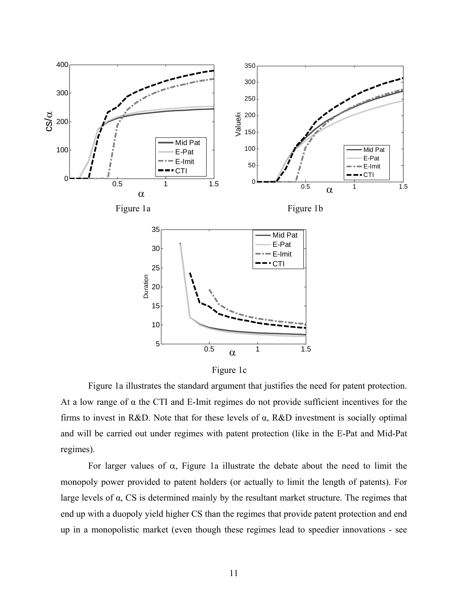

Figure 1c

Figure 1a illustrates the standard argument that justifies the need for patent protection. At a low range of α the CTI and E-Imit regimes do not provide sufficient incentives for the firms to invest in R&D. Note that for these levels of  $\alpha$ , R&D investment is socially optimal and will be carried out under regimes with patent protection (like in the E-Pat and Mid-Pat regimes).

For larger values of  $\alpha$ , Figure 1a illustrate the debate about the need to limit the monopoly power provided to patent holders (or actually to limit the length of patents). For large levels of  $\alpha$ , CS is determined mainly by the resultant market structure. The regimes that end up with a duopoly yield higher CS than the regimes that provide patent protection and end up in a monopolistic market (even though these regimes lead to speedier innovations - see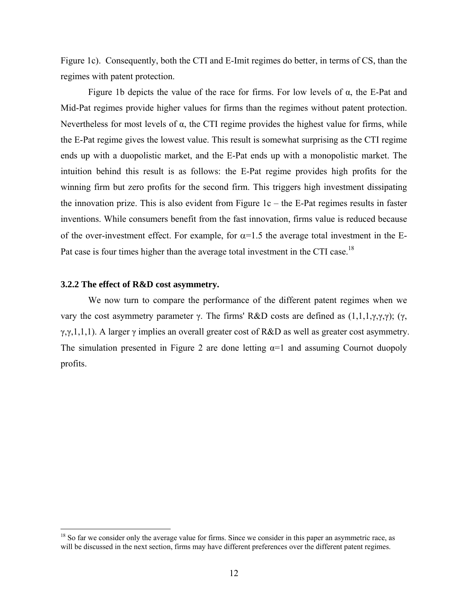Figure 1c). Consequently, both the CTI and E-Imit regimes do better, in terms of CS, than the regimes with patent protection.

Figure 1b depicts the value of the race for firms. For low levels of  $\alpha$ , the E-Pat and Mid-Pat regimes provide higher values for firms than the regimes without patent protection. Nevertheless for most levels of  $\alpha$ , the CTI regime provides the highest value for firms, while the E-Pat regime gives the lowest value. This result is somewhat surprising as the CTI regime ends up with a duopolistic market, and the E-Pat ends up with a monopolistic market. The intuition behind this result is as follows: the E-Pat regime provides high profits for the winning firm but zero profits for the second firm. This triggers high investment dissipating the innovation prize. This is also evident from Figure  $1c$  – the E-Pat regimes results in faster inventions. While consumers benefit from the fast innovation, firms value is reduced because of the over-investment effect. For example, for  $\alpha$ =1.5 the average total investment in the E-Pat case is four times higher than the average total investment in the CTI case.<sup>18</sup>

#### **3.2.2 The effect of R&D cost asymmetry.**

 $\overline{a}$ 

We now turn to compare the performance of the different patent regimes when we vary the cost asymmetry parameter γ. The firms' R&D costs are defined as  $(1,1,1,\gamma,\gamma,\gamma)$ ; (γ, γ,γ,1,1,1). A larger γ implies an overall greater cost of R&D as well as greater cost asymmetry. The simulation presented in Figure 2 are done letting  $\alpha=1$  and assuming Cournot duopoly profits.

<span id="page-12-0"></span><sup>&</sup>lt;sup>18</sup> So far we consider only the average value for firms. Since we consider in this paper an asymmetric race, as will be discussed in the next section, firms may have different preferences over the different patent regimes.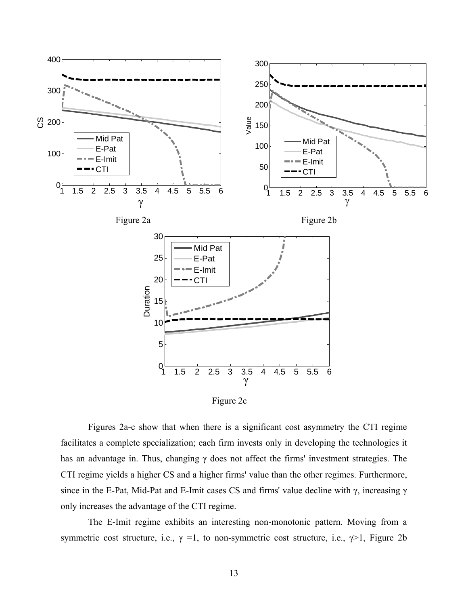

Figure 2c

Figures 2a-c show that when there is a significant cost asymmetry the CTI regime facilitates a complete specialization; each firm invests only in developing the technologies it has an advantage in. Thus, changing γ does not affect the firms' investment strategies. The CTI regime yields a higher CS and a higher firms' value than the other regimes. Furthermore, since in the E-Pat, Mid-Pat and E-Imit cases CS and firms' value decline with γ, increasing γ only increases the advantage of the CTI regime.

The E-Imit regime exhibits an interesting non-monotonic pattern. Moving from a symmetric cost structure, i.e.,  $\gamma = 1$ , to non-symmetric cost structure, i.e.,  $\gamma > 1$ , Figure 2b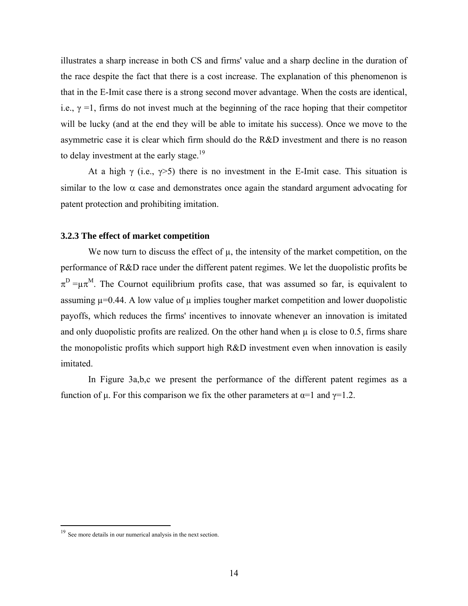illustrates a sharp increase in both CS and firms' value and a sharp decline in the duration of the race despite the fact that there is a cost increase. The explanation of this phenomenon is that in the E-Imit case there is a strong second mover advantage. When the costs are identical, i.e.,  $\gamma$  =1, firms do not invest much at the beginning of the race hoping that their competitor will be lucky (and at the end they will be able to imitate his success). Once we move to the asymmetric case it is clear which firm should do the R&D investment and there is no reason to delay investment at the early stage. $^{19}$ 

At a high  $\gamma$  (i.e.,  $\gamma$ >5) there is no investment in the E-Imit case. This situation is similar to the low  $\alpha$  case and demonstrates once again the standard argument advocating for patent protection and prohibiting imitation.

#### **3.2.3 The effect of market competition**

We now turn to discuss the effect of  $\mu$ , the intensity of the market competition, on the performance of R&D race under the different patent regimes. We let the duopolistic profits be  $\pi^D = \mu \pi^M$ . The Cournot equilibrium profits case, that was assumed so far, is equivalent to assuming  $\mu$ =0.44. A low value of  $\mu$  implies tougher market competition and lower duopolistic payoffs, which reduces the firms' incentives to innovate whenever an innovation is imitated and only duopolistic profits are realized. On the other hand when  $\mu$  is close to 0.5, firms share the monopolistic profits which support high R&D investment even when innovation is easily imitated.

In Figure 3a,b,c we present the performance of the different patent regimes as a function of  $\mu$ . For this comparison we fix the other parameters at  $\alpha=1$  and  $\gamma=1.2$ .

 $\overline{a}$ 

<span id="page-14-0"></span><sup>&</sup>lt;sup>19</sup> See more details in our numerical analysis in the next section.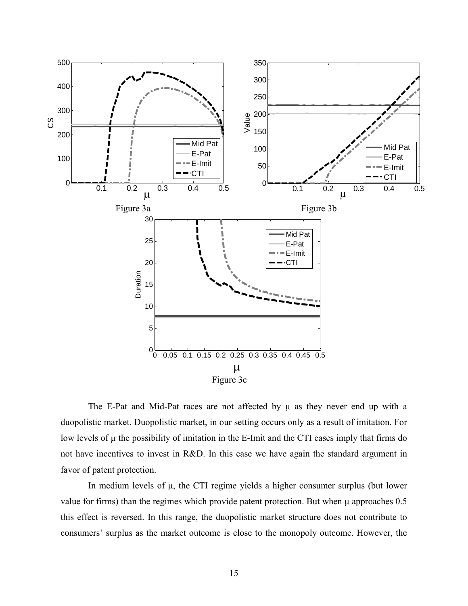

The E-Pat and Mid-Pat races are not affected by  $\mu$  as they never end up with a duopolistic market. Duopolistic market, in our setting occurs only as a result of imitation. For low levels of  $\mu$  the possibility of imitation in the E-Imit and the CTI cases imply that firms do not have incentives to invest in R&D. In this case we have again the standard argument in favor of patent protection.

In medium levels of µ, the CTI regime yields a higher consumer surplus (but lower value for firms) than the regimes which provide patent protection. But when  $\mu$  approaches 0.5 this effect is reversed. In this range, the duopolistic market structure does not contribute to consumers' surplus as the market outcome is close to the monopoly outcome. However, the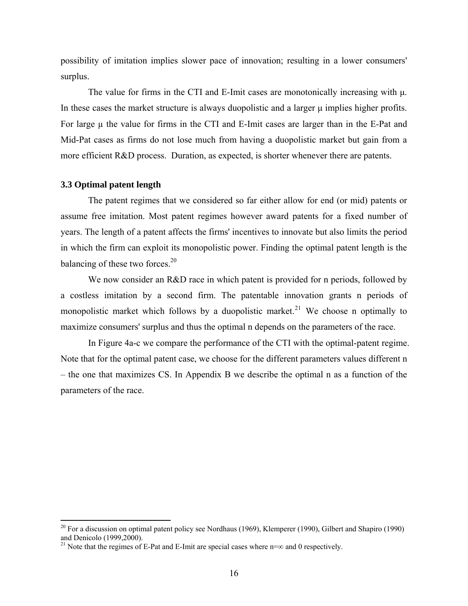possibility of imitation implies slower pace of innovation; resulting in a lower consumers' surplus.

The value for firms in the CTI and E-Imit cases are monotonically increasing with µ. In these cases the market structure is always duopolistic and a larger  $\mu$  implies higher profits. For large  $\mu$  the value for firms in the CTI and E-Imit cases are larger than in the E-Pat and Mid-Pat cases as firms do not lose much from having a duopolistic market but gain from a more efficient R&D process. Duration, as expected, is shorter whenever there are patents.

#### **3.3 Optimal patent length**

 $\overline{a}$ 

The patent regimes that we considered so far either allow for end (or mid) patents or assume free imitation. Most patent regimes however award patents for a fixed number of years. The length of a patent affects the firms' incentives to innovate but also limits the period in which the firm can exploit its monopolistic power. Finding the optimal patent length is the balancing of these two forces.<sup>20</sup>

We now consider an R&D race in which patent is provided for n periods, followed by a costless imitation by a second firm. The patentable innovation grants n periods of monopolistic market which follows by a duopolistic market.<sup>21</sup> We choose n optimally to maximize consumers' surplus and thus the optimal n depends on the parameters of the race.

In Figure 4a-c we compare the performance of the CTI with the optimal-patent regime. Note that for the optimal patent case, we choose for the different parameters values different n – the one that maximizes CS. In Appendix B we describe the optimal n as a function of the parameters of the race.

<span id="page-16-0"></span> $20$  For a discussion on optimal patent policy see Nordhaus (1969), Klemperer (1990), Gilbert and Shapiro (1990) and Denicolo (1999,2000). <sup>21</sup> Note that the regimes of E-Pat and E-Imit are special cases where n=∞ and 0 respectively.

<span id="page-16-1"></span>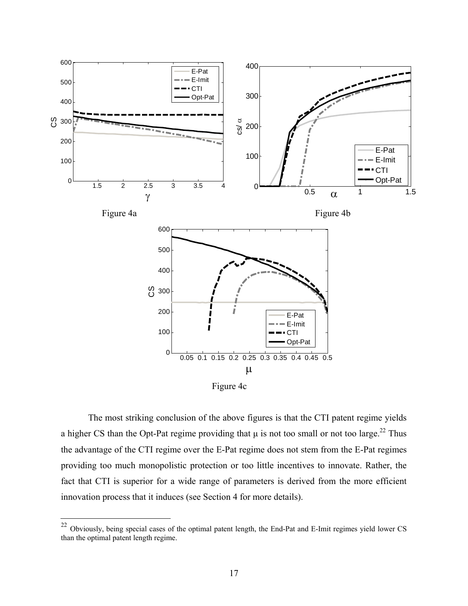

Figure 4c

The most striking conclusion of the above figures is that the CTI patent regime yields a higher CS than the Opt-Pat regime providing that  $\mu$  is not too small or not too large.<sup>22</sup> Thus the advantage of the CTI regime over the E-Pat regime does not stem from the E-Pat regimes providing too much monopolistic protection or too little incentives to innovate. Rather, the fact that CTI is superior for a wide range of parameters is derived from the more efficient innovation process that it induces (see Section 4 for more details).

<span id="page-17-0"></span> $22$ <sup>22</sup> Obviously, being special cases of the optimal patent length, the End-Pat and E-Imit regimes yield lower CS than the optimal patent length regime.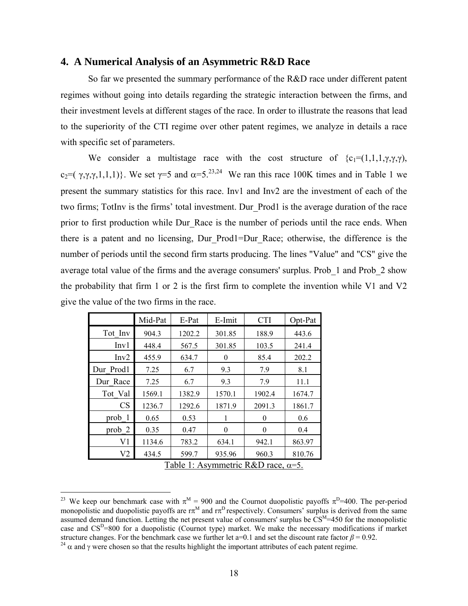#### **4. A Numerical Analysis of an Asymmetric R&D Race**

So far we presented the summary performance of the R&D race under different patent regimes without going into details regarding the strategic interaction between the firms, and their investment levels at different stages of the race. In order to illustrate the reasons that lead to the superiority of the CTI regime over other patent regimes, we analyze in details a race with specific set of parameters.

We consider a multistage race with the cost structure of  ${c_1 = (1,1,1,\gamma,\gamma,\gamma)}$ , c<sub>2</sub>=( γ,γ,γ,1,1,1)}. We set  $\gamma$ =5 and  $\alpha$ =5.<sup>[23,](#page-18-0)24</sup> We ran this race 100K times and in Table 1 we present the summary statistics for this race. Inv1 and Inv2 are the investment of each of the two firms; TotInv is the firms' total investment. Dur\_Prod1 is the average duration of the race prior to first production while Dur Race is the number of periods until the race ends. When there is a patent and no licensing, Dur\_Prod1=Dur\_Race; otherwise, the difference is the number of periods until the second firm starts producing. The lines "Value" and "CS" give the average total value of the firms and the average consumers' surplus. Prob\_1 and Prob\_2 show the probability that firm 1 or 2 is the first firm to complete the invention while V1 and V2 give the value of the two firms in the race.

|                                            | Mid-Pat | E-Pat  | E-Imit   | <b>CTI</b> | Opt-Pat |  |  |  |
|--------------------------------------------|---------|--------|----------|------------|---------|--|--|--|
| Tot Inv                                    | 904.3   | 1202.2 | 301.85   | 188.9      | 443.6   |  |  |  |
| Inv1                                       | 448.4   | 567.5  | 301.85   | 103.5      | 241.4   |  |  |  |
| Inv2                                       | 455.9   | 634.7  | $\theta$ | 85.4       | 202.2   |  |  |  |
| Dur Prod1                                  | 7.25    | 6.7    | 9.3      | 7.9        | 8.1     |  |  |  |
| Dur Race                                   | 7.25    | 6.7    | 9.3      | 7.9        | 11.1    |  |  |  |
| Tot Val                                    | 1569.1  | 1382.9 | 1570.1   | 1902.4     | 1674.7  |  |  |  |
| <b>CS</b>                                  | 1236.7  | 1292.6 | 1871.9   | 2091.3     | 1861.7  |  |  |  |
| prob 1                                     | 0.65    | 0.53   | 1        | $\Omega$   | 0.6     |  |  |  |
| prob <sub>2</sub>                          | 0.35    | 0.47   | $\theta$ | $\Omega$   | 0.4     |  |  |  |
| V <sub>1</sub>                             | 1134.6  | 783.2  | 634.1    | 942.1      | 863.97  |  |  |  |
| V <sub>2</sub>                             | 434.5   | 599.7  | 935.96   | 960.3      | 810.76  |  |  |  |
| Table 1: Asymmetric R&D race, $\alpha$ =5. |         |        |          |            |         |  |  |  |

<span id="page-18-0"></span> $\overline{a}$ <sup>23</sup> We keep our benchmark case with  $\pi^M = 900$  and the Cournot duopolistic payoffs  $\pi^D = 400$ . The per-period monopolistic and duopolistic payoffs are  $\pi^{M}$  and  $\pi^{D}$  respectively. Consumers' surplus is derived from the same assumed demand function. Letting the net present value of consumers' surplus be  $\text{CS}^M=450$  for the monopolistic case and  $CS^D=800$  for a duopolistic (Cournot type) market. We make the necessary modifications if market structure changes. For the benchmark case we further let a=0.1 and set the discount rate factor  $\beta = 0.92$ .

<span id="page-18-1"></span><sup>&</sup>lt;sup>24</sup>  $\alpha$  and  $\gamma$  were chosen so that the results highlight the important attributes of each patent regime.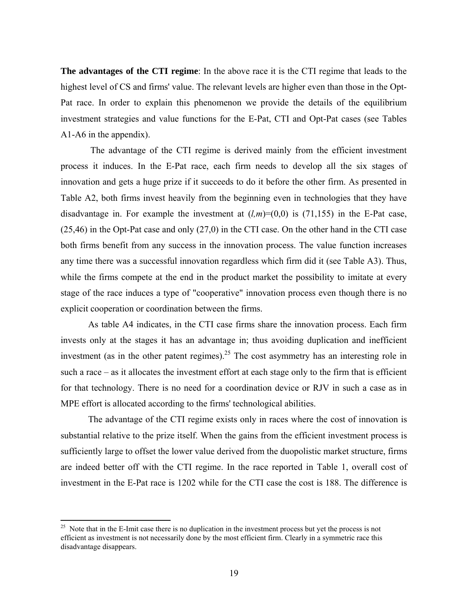**The advantages of the CTI regime**: In the above race it is the CTI regime that leads to the highest level of CS and firms' value. The relevant levels are higher even than those in the Opt-Pat race. In order to explain this phenomenon we provide the details of the equilibrium investment strategies and value functions for the E-Pat, CTI and Opt-Pat cases (see Tables A1-A6 in the appendix).

The advantage of the CTI regime is derived mainly from the efficient investment process it induces. In the E-Pat race, each firm needs to develop all the six stages of innovation and gets a huge prize if it succeeds to do it before the other firm. As presented in Table A2, both firms invest heavily from the beginning even in technologies that they have disadvantage in. For example the investment at  $(l,m)=(0,0)$  is (71,155) in the E-Pat case, (25,46) in the Opt-Pat case and only (27,0) in the CTI case. On the other hand in the CTI case both firms benefit from any success in the innovation process. The value function increases any time there was a successful innovation regardless which firm did it (see Table A3). Thus, while the firms compete at the end in the product market the possibility to imitate at every stage of the race induces a type of "cooperative" innovation process even though there is no explicit cooperation or coordination between the firms.

As table A4 indicates, in the CTI case firms share the innovation process. Each firm invests only at the stages it has an advantage in; thus avoiding duplication and inefficient investment (as in the other patent regimes).<sup>25</sup> The cost asymmetry has an interesting role in such a race – as it allocates the investment effort at each stage only to the firm that is efficient for that technology. There is no need for a coordination device or RJV in such a case as in MPE effort is allocated according to the firms' technological abilities.

The advantage of the CTI regime exists only in races where the cost of innovation is substantial relative to the prize itself. When the gains from the efficient investment process is sufficiently large to offset the lower value derived from the duopolistic market structure, firms are indeed better off with the CTI regime. In the race reported in Table 1, overall cost of investment in the E-Pat race is 1202 while for the CTI case the cost is 188. The difference is

 $\overline{a}$ 

<span id="page-19-0"></span> $25$  Note that in the E-Imit case there is no duplication in the investment process but yet the process is not efficient as investment is not necessarily done by the most efficient firm. Clearly in a symmetric race this disadvantage disappears.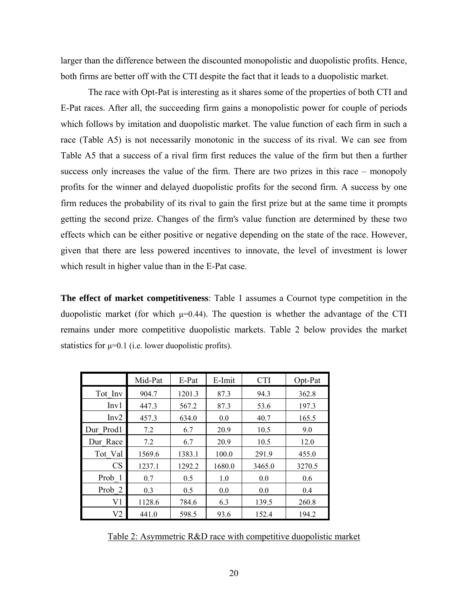larger than the difference between the discounted monopolistic and duopolistic profits. Hence, both firms are better off with the CTI despite the fact that it leads to a duopolistic market.

The race with Opt-Pat is interesting as it shares some of the properties of both CTI and E-Pat races. After all, the succeeding firm gains a monopolistic power for couple of periods which follows by imitation and duopolistic market. The value function of each firm in such a race (Table A5) is not necessarily monotonic in the success of its rival. We can see from Table A5 that a success of a rival firm first reduces the value of the firm but then a further success only increases the value of the firm. There are two prizes in this race – monopoly profits for the winner and delayed duopolistic profits for the second firm. A success by one firm reduces the probability of its rival to gain the first prize but at the same time it prompts getting the second prize. Changes of the firm's value function are determined by these two effects which can be either positive or negative depending on the state of the race. However, given that there are less powered incentives to innovate, the level of investment is lower which result in higher value than in the E-Pat case.

**The effect of market competitiveness**: Table 1 assumes a Cournot type competition in the duopolistic market (for which  $\mu$ =0.44). The question is whether the advantage of the CTI remains under more competitive duopolistic markets. Table 2 below provides the market statistics for  $\mu=0.1$  (i.e. lower duopolistic profits).

|                   | Mid-Pat | E-Pat  | E-Imit | <b>CTI</b> | Opt-Pat |
|-------------------|---------|--------|--------|------------|---------|
| Tot Inv           | 904.7   | 1201.3 | 87.3   | 94.3       | 362.8   |
| Inv1              | 447.3   | 567.2  | 87.3   | 53.6       | 197.3   |
| Inv2              | 457.3   | 634.0  | 0.0    | 40.7       | 165.5   |
| Dur Prod1         | 7.2     | 6.7    | 20.9   | 10.5       | 9.0     |
| Dur Race          | 7.2     | 6.7    | 20.9   | 10.5       | 12.0    |
| Tot Val           | 1569.6  | 1383.1 | 100.0  | 291.9      | 455.0   |
| <b>CS</b>         | 1237.1  | 1292.2 | 1680.0 | 3465.0     | 3270.5  |
| Prob 1            | 0.7     | 0.5    | 1.0    | 0.0        | 0.6     |
| Prob <sub>2</sub> | 0.3     | 0.5    | 0.0    | 0.0        | 0.4     |
| V <sub>1</sub>    | 1128.6  | 784.6  | 6.3    | 139.5      | 260.8   |
| V <sub>2</sub>    | 441.0   | 598.5  | 93.6   | 152.4      | 194.2   |

Table 2: Asymmetric R&D race with competitive duopolistic market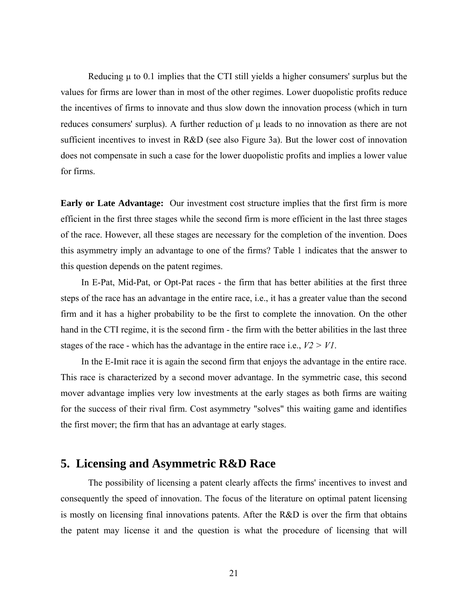Reducing  $\mu$  to 0.1 implies that the CTI still yields a higher consumers' surplus but the values for firms are lower than in most of the other regimes. Lower duopolistic profits reduce the incentives of firms to innovate and thus slow down the innovation process (which in turn reduces consumers' surplus). A further reduction of  $\mu$  leads to no innovation as there are not sufficient incentives to invest in R&D (see also Figure 3a). But the lower cost of innovation does not compensate in such a case for the lower duopolistic profits and implies a lower value for firms.

**Early or Late Advantage:** Our investment cost structure implies that the first firm is more efficient in the first three stages while the second firm is more efficient in the last three stages of the race. However, all these stages are necessary for the completion of the invention. Does this asymmetry imply an advantage to one of the firms? Table 1 indicates that the answer to this question depends on the patent regimes.

In E-Pat, Mid-Pat, or Opt-Pat races - the firm that has better abilities at the first three steps of the race has an advantage in the entire race, i.e., it has a greater value than the second firm and it has a higher probability to be the first to complete the innovation. On the other hand in the CTI regime, it is the second firm - the firm with the better abilities in the last three stages of the race - which has the advantage in the entire race i.e., *V2 > V1*.

In the E-Imit race it is again the second firm that enjoys the advantage in the entire race. This race is characterized by a second mover advantage. In the symmetric case, this second mover advantage implies very low investments at the early stages as both firms are waiting for the success of their rival firm. Cost asymmetry "solves" this waiting game and identifies the first mover; the firm that has an advantage at early stages.

# **5. Licensing and Asymmetric R&D Race**

The possibility of licensing a patent clearly affects the firms' incentives to invest and consequently the speed of innovation. The focus of the literature on optimal patent licensing is mostly on licensing final innovations patents. After the  $R&D$  is over the firm that obtains the patent may license it and the question is what the procedure of licensing that will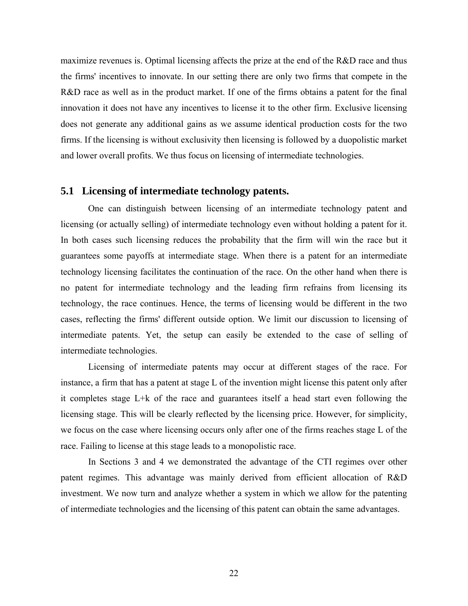maximize revenues is. Optimal licensing affects the prize at the end of the  $R&D$  race and thus the firms' incentives to innovate. In our setting there are only two firms that compete in the R&D race as well as in the product market. If one of the firms obtains a patent for the final innovation it does not have any incentives to license it to the other firm. Exclusive licensing does not generate any additional gains as we assume identical production costs for the two firms. If the licensing is without exclusivity then licensing is followed by a duopolistic market and lower overall profits. We thus focus on licensing of intermediate technologies.

#### **5.1 Licensing of intermediate technology patents.**

One can distinguish between licensing of an intermediate technology patent and licensing (or actually selling) of intermediate technology even without holding a patent for it. In both cases such licensing reduces the probability that the firm will win the race but it guarantees some payoffs at intermediate stage. When there is a patent for an intermediate technology licensing facilitates the continuation of the race. On the other hand when there is no patent for intermediate technology and the leading firm refrains from licensing its technology, the race continues. Hence, the terms of licensing would be different in the two cases, reflecting the firms' different outside option. We limit our discussion to licensing of intermediate patents. Yet, the setup can easily be extended to the case of selling of intermediate technologies.

Licensing of intermediate patents may occur at different stages of the race. For instance, a firm that has a patent at stage L of the invention might license this patent only after it completes stage L+k of the race and guarantees itself a head start even following the licensing stage. This will be clearly reflected by the licensing price. However, for simplicity, we focus on the case where licensing occurs only after one of the firms reaches stage L of the race. Failing to license at this stage leads to a monopolistic race.

In Sections 3 and 4 we demonstrated the advantage of the CTI regimes over other patent regimes. This advantage was mainly derived from efficient allocation of R&D investment. We now turn and analyze whether a system in which we allow for the patenting of intermediate technologies and the licensing of this patent can obtain the same advantages.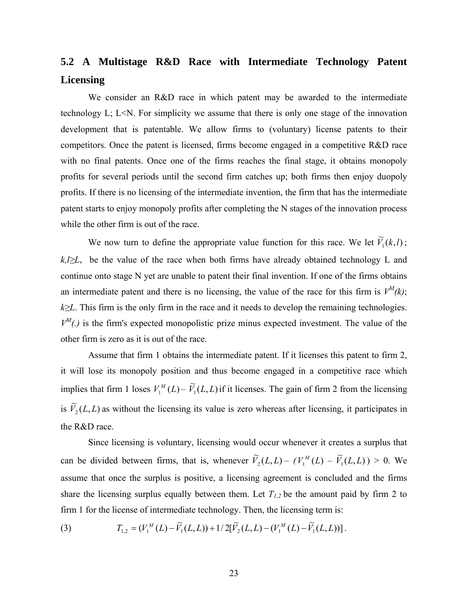# **5.2 A Multistage R&D Race with Intermediate Technology Patent Licensing**

We consider an R&D race in which patent may be awarded to the intermediate technology L; L<N. For simplicity we assume that there is only one stage of the innovation development that is patentable. We allow firms to (voluntary) license patents to their competitors. Once the patent is licensed, firms become engaged in a competitive R&D race with no final patents. Once one of the firms reaches the final stage, it obtains monopoly profits for several periods until the second firm catches up; both firms then enjoy duopoly profits. If there is no licensing of the intermediate invention, the firm that has the intermediate patent starts to enjoy monopoly profits after completing the N stages of the innovation process while the other firm is out of the race.

We now turn to define the appropriate value function for this race. We let  $\tilde{V}_1(k, l)$ ; *k*,*l*≥*L*, be the value of the race when both firms have already obtained technology L and continue onto stage N yet are unable to patent their final invention. If one of the firms obtains an intermediate patent and there is no licensing, the value of the race for this firm is  $V^M(k)$ ; *k*≥*L*. This firm is the only firm in the race and it needs to develop the remaining technologies.  $V^M(.)$  is the firm's expected monopolistic prize minus expected investment. The value of the other firm is zero as it is out of the race.

Assume that firm 1 obtains the intermediate patent. If it licenses this patent to firm 2, it will lose its monopoly position and thus become engaged in a competitive race which implies that firm 1 loses  $V_1^M(L) - \widetilde{V}_1(L, L)$  if it licenses. The gain of firm 2 from the licensing is  $\tilde{V}_2(L,L)$  as without the licensing its value is zero whereas after licensing, it participates in the R&D race.

Since licensing is voluntary, licensing would occur whenever it creates a surplus that can be divided between firms, that is, whenever  $\widetilde{V}_2(L,L) - (V_1^M(L) - \widetilde{V}_1(L,L)) > 0$ . We assume that once the surplus is positive, a licensing agreement is concluded and the firms share the licensing surplus equally between them. Let  $T_{1,2}$  be the amount paid by firm 2 to firm 1 for the license of intermediate technology. Then, the licensing term is:

(3) 
$$
T_{1,2} = (V_1^M(L) - \widetilde{V}_1(L,L)) + 1/2[\widetilde{V}_2(L,L) - (V_1^M(L) - \widetilde{V}_1(L,L))].
$$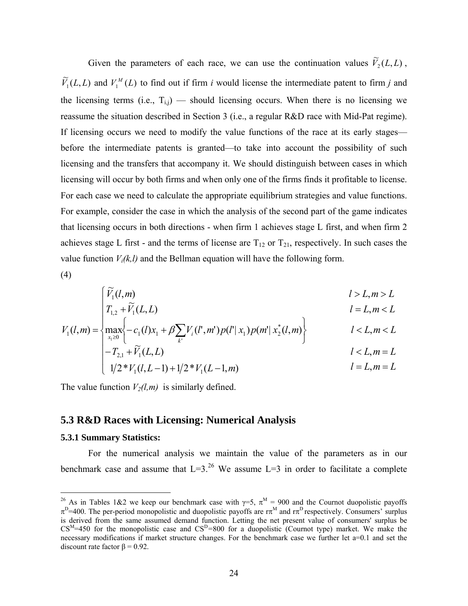Given the parameters of each race, we can use the continuation values  $\widetilde{V}_2(L, L)$ ,  $\widetilde{V}_1(L, L)$  and  $V_1^M(L)$  to find out if firm *i* would license the intermediate patent to firm *j* and the licensing terms (i.e.,  $T_{i,j}$ ) — should licensing occurs. When there is no licensing we reassume the situation described in Section 3 (i.e., a regular R&D race with Mid-Pat regime). If licensing occurs we need to modify the value functions of the race at its early stages before the intermediate patents is granted—to take into account the possibility of such licensing and the transfers that accompany it. We should distinguish between cases in which licensing will occur by both firms and when only one of the firms finds it profitable to license. For each case we need to calculate the appropriate equilibrium strategies and value functions. For example, consider the case in which the analysis of the second part of the game indicates that licensing occurs in both directions - when firm 1 achieves stage L first, and when firm 2 achieves stage L first - and the terms of license are  $T_{12}$  or  $T_{21}$ , respectively. In such cases the value function  $V_i(k,l)$  and the Bellman equation will have the following form.

(4)

$$
\begin{cases} \widetilde{V}_1(l,m) & l > L, m > L \\ T_{1,2} + \widetilde{V}_1(L,L) & l = L, m < L \end{cases}
$$

$$
V_1(l,m) = \left\{ \max_{x_1 \ge 0} \left\{ -c_1(l)x_1 + \beta \sum_{k'} V_i(l',m')p(l'|x_1)p(m'|x_2^*(l,m)) \right\} \qquad l < L, m < L \right\}
$$
  

$$
l < L, m = L
$$

$$
\begin{cases}\n I_{2,1} + Y_1(L,L) \\
1/2 * Y_1(l,L-1) + 1/2 * Y_1(L-1,m)\n\end{cases}
$$
\n $l = L, m = L$ 

The value function  $V_2(l,m)$  is similarly defined.

#### **5.3 R&D Races with Licensing: Numerical Analysis**

#### **5.3.1 Summary Statistics:**

For the numerical analysis we maintain the value of the parameters as in our benchmark case and assume that  $L=3^{26}$  We assume  $L=3$  in order to facilitate a complete

<span id="page-24-0"></span><sup>&</sup>lt;sup>26</sup> As in Tables 1&2 we keep our benchmark case with  $\gamma = 5$ ,  $\pi^M = 900$  and the Cournot duopolistic payoffs  $\pi^D$ =400. The per-period monopolistic and duopolistic payoffs are  $\pi^M$  and  $\pi^D$  respectively. Consumers' surplus is derived from the same assumed demand function. Letting the net present value of consumers' surplus be  $CS^{M}=450$  for the monopolistic case and  $CS^{D}=800$  for a duopolistic (Cournot type) market. We make the necessary modifications if market structure changes. For the benchmark case we further let a=0.1 and set the discount rate factor  $β = 0.92$ .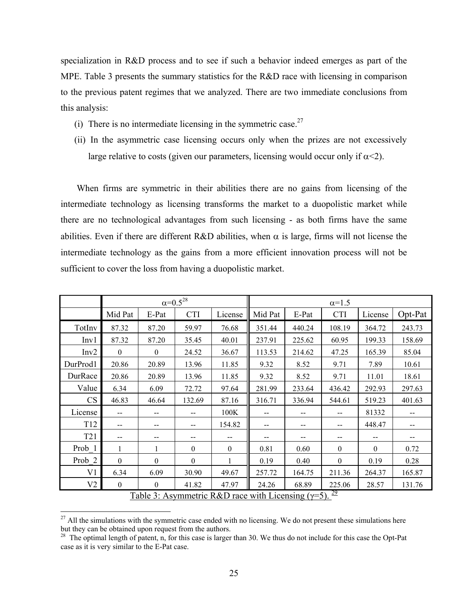specialization in R&D process and to see if such a behavior indeed emerges as part of the MPE. Table 3 presents the summary statistics for the R&D race with licensing in comparison to the previous patent regimes that we analyzed. There are two immediate conclusions from this analysis:

- (i) There is no intermediate licensing in the symmetric case.<sup>27</sup>
- (ii) In the asymmetric case licensing occurs only when the prizes are not excessively large relative to costs (given our parameters, licensing would occur only if  $\alpha$ <2).

When firms are symmetric in their abilities there are no gains from licensing of the intermediate technology as licensing transforms the market to a duopolistic market while there are no technological advantages from such licensing - as both firms have the same abilities. Even if there are different R&D abilities, when  $\alpha$  is large, firms will not license the intermediate technology as the gains from a more efficient innovation process will not be sufficient to cover the loss from having a duopolistic market.

|                 |              |                                       | $\alpha = 0.5^{28}$ |                  |                                                            | $\alpha=1.5$ |                  |          |         |  |
|-----------------|--------------|---------------------------------------|---------------------|------------------|------------------------------------------------------------|--------------|------------------|----------|---------|--|
|                 | Mid Pat      | E-Pat                                 | <b>CTI</b>          | License          | Mid Pat                                                    | E-Pat        | <b>CTI</b>       | License  | Opt-Pat |  |
| TotInv          | 87.32        | 87.20                                 | 59.97               | 76.68            | 351.44                                                     | 440.24       | 108.19           | 364.72   | 243.73  |  |
| Inv1            | 87.32        | 87.20                                 | 35.45               | 40.01            | 237.91                                                     | 225.62       | 60.95            | 199.33   | 158.69  |  |
| Inv2            | $\theta$     | $\Omega$                              | 24.52               | 36.67            | 113.53                                                     | 214.62       | 47.25            | 165.39   | 85.04   |  |
| DurProd1        | 20.86        | 20.89                                 | 13.96               | 11.85            | 9.32                                                       | 8.52         | 9.71             | 7.89     | 10.61   |  |
| DurRace         | 20.86        | 20.89                                 | 13.96               | 11.85            | 9.32                                                       | 8.52         | 9.71             | 11.01    | 18.61   |  |
| Value           | 6.34         | 6.09                                  | 72.72               | 97.64            | 281.99                                                     | 233.64       | 436.42           | 292.93   | 297.63  |  |
| CS              | 46.83        | 46.64                                 | 132.69              | 87.16            | 316.71                                                     | 336.94       | 544.61           | 519.23   | 401.63  |  |
| License         |              | --                                    | --                  | 100K             |                                                            | --           | --               | 81332    | --      |  |
| T <sub>12</sub> | $- -$        | $\hspace{0.05cm}$ – $\hspace{0.05cm}$ | --                  | 154.82           | --                                                         | --           | --               | 448.47   | $- -$   |  |
| T <sub>21</sub> | --           | --                                    | --                  |                  |                                                            | --           | --               | --       | --      |  |
| Prob 1          | 1            |                                       | $\theta$            | $\boldsymbol{0}$ | 0.81                                                       | 0.60         | $\mathbf{0}$     | $\theta$ | 0.72    |  |
| Prob 2          | $\theta$     | $\theta$                              | $\theta$            | 1                | 0.19                                                       | 0.40         | $\boldsymbol{0}$ | 0.19     | 0.28    |  |
| V1              | 6.34         | 6.09                                  | 30.90               | 49.67            | 257.72                                                     | 164.75       | 211.36           | 264.37   | 165.87  |  |
| V <sub>2</sub>  | $\mathbf{0}$ | $\boldsymbol{0}$                      | 41.82               | 47.97            | 24.26                                                      | 68.89        | 225.06           | 28.57    | 131.76  |  |
|                 |              |                                       |                     |                  | Table 3: Asymmetric R&D race with Licensing $(\gamma=5)$ . |              | $\frac{29}{2}$   |          |         |  |

<span id="page-25-2"></span><span id="page-25-0"></span><sup>&</sup>lt;sup>27</sup> All the simulations with the symmetric case ended with no licensing. We do not present these simulations here but they can be obtained upon request from the authors.

<span id="page-25-1"></span> $28$  The optimal length of patent, n, for this case is larger than 30. We thus do not include for this case the Opt-Pat case as it is very similar to the E-Pat case.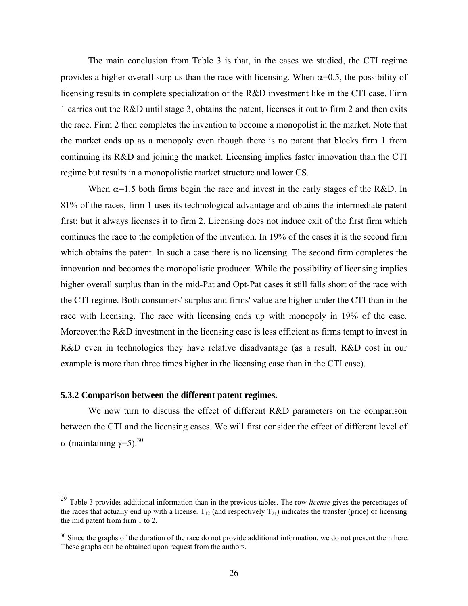The main conclusion from Table 3 is that, in the cases we studied, the CTI regime provides a higher overall surplus than the race with licensing. When  $\alpha$ =0.5, the possibility of licensing results in complete specialization of the R&D investment like in the CTI case. Firm 1 carries out the R&D until stage 3, obtains the patent, licenses it out to firm 2 and then exits the race. Firm 2 then completes the invention to become a monopolist in the market. Note that the market ends up as a monopoly even though there is no patent that blocks firm 1 from continuing its R&D and joining the market. Licensing implies faster innovation than the CTI regime but results in a monopolistic market structure and lower CS.

When  $\alpha$ =1.5 both firms begin the race and invest in the early stages of the R&D. In 81% of the races, firm 1 uses its technological advantage and obtains the intermediate patent first; but it always licenses it to firm 2. Licensing does not induce exit of the first firm which continues the race to the completion of the invention. In 19% of the cases it is the second firm which obtains the patent. In such a case there is no licensing. The second firm completes the innovation and becomes the monopolistic producer. While the possibility of licensing implies higher overall surplus than in the mid-Pat and Opt-Pat cases it still falls short of the race with the CTI regime. Both consumers' surplus and firms' value are higher under the CTI than in the race with licensing. The race with licensing ends up with monopoly in 19% of the case. Moreover.the R&D investment in the licensing case is less efficient as firms tempt to invest in R&D even in technologies they have relative disadvantage (as a result, R&D cost in our example is more than three times higher in the licensing case than in the CTI case).

#### **5.3.2 Comparison between the different patent regimes.**

We now turn to discuss the effect of different R&D parameters on the comparison between the CTI and the licensing cases. We will first consider the effect of different level of α (maintaining  $\gamma$ =5).<sup>30</sup>

 <sup>29</sup> Table 3 provides additional information than in the previous tables. The row *license* gives the percentages of the races that actually end up with a license.  $T_{12}$  (and respectively  $T_{21}$ ) indicates the transfer (price) of licensing the mid patent from firm 1 to 2.

<span id="page-26-0"></span> $30$  Since the graphs of the duration of the race do not provide additional information, we do not present them here. These graphs can be obtained upon request from the authors.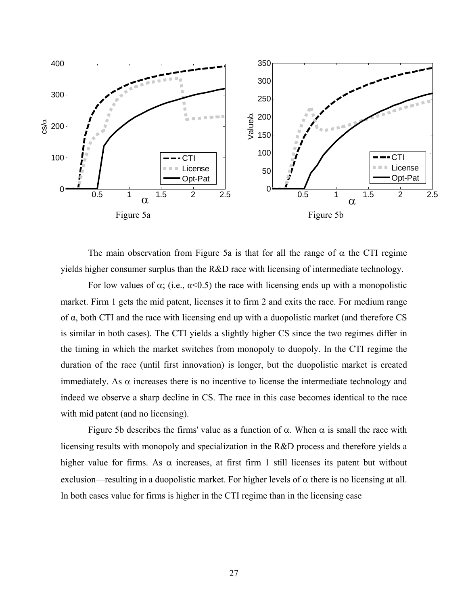

The main observation from Figure 5a is that for all the range of  $\alpha$  the CTI regime yields higher consumer surplus than the R&D race with licensing of intermediate technology.

For low values of  $\alpha$ ; (i.e.,  $\alpha$ <0.5) the race with licensing ends up with a monopolistic market. Firm 1 gets the mid patent, licenses it to firm 2 and exits the race. For medium range of α, both CTI and the race with licensing end up with a duopolistic market (and therefore CS is similar in both cases). The CTI yields a slightly higher CS since the two regimes differ in the timing in which the market switches from monopoly to duopoly. In the CTI regime the duration of the race (until first innovation) is longer, but the duopolistic market is created immediately. As  $\alpha$  increases there is no incentive to license the intermediate technology and indeed we observe a sharp decline in CS. The race in this case becomes identical to the race with mid patent (and no licensing).

Figure 5b describes the firms' value as a function of  $\alpha$ . When  $\alpha$  is small the race with licensing results with monopoly and specialization in the R&D process and therefore yields a higher value for firms. As  $\alpha$  increases, at first firm 1 still licenses its patent but without exclusion—resulting in a duopolistic market. For higher levels of  $\alpha$  there is no licensing at all. In both cases value for firms is higher in the CTI regime than in the licensing case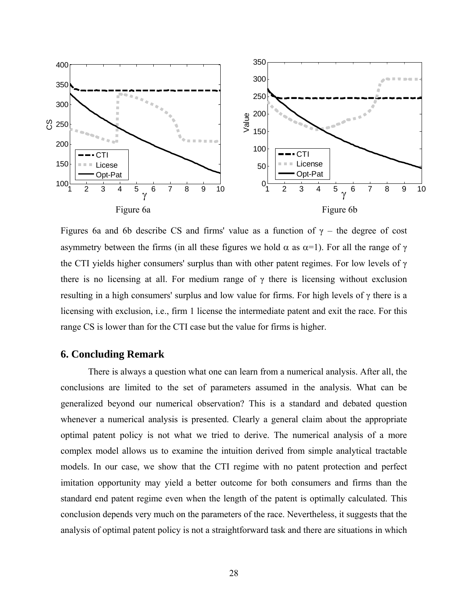

Figures 6a and 6b describe CS and firms' value as a function of  $\gamma$  – the degree of cost asymmetry between the firms (in all these figures we hold  $\alpha$  as  $\alpha=1$ ). For all the range of γ the CTI yields higher consumers' surplus than with other patent regimes. For low levels of  $\gamma$ there is no licensing at all. For medium range of  $\gamma$  there is licensing without exclusion resulting in a high consumers' surplus and low value for firms. For high levels of γ there is a licensing with exclusion, i.e., firm 1 license the intermediate patent and exit the race. For this range CS is lower than for the CTI case but the value for firms is higher.

# **6. Concluding Remark**

There is always a question what one can learn from a numerical analysis. After all, the conclusions are limited to the set of parameters assumed in the analysis. What can be generalized beyond our numerical observation? This is a standard and debated question whenever a numerical analysis is presented. Clearly a general claim about the appropriate optimal patent policy is not what we tried to derive. The numerical analysis of a more complex model allows us to examine the intuition derived from simple analytical tractable models. In our case, we show that the CTI regime with no patent protection and perfect imitation opportunity may yield a better outcome for both consumers and firms than the standard end patent regime even when the length of the patent is optimally calculated. This conclusion depends very much on the parameters of the race. Nevertheless, it suggests that the analysis of optimal patent policy is not a straightforward task and there are situations in which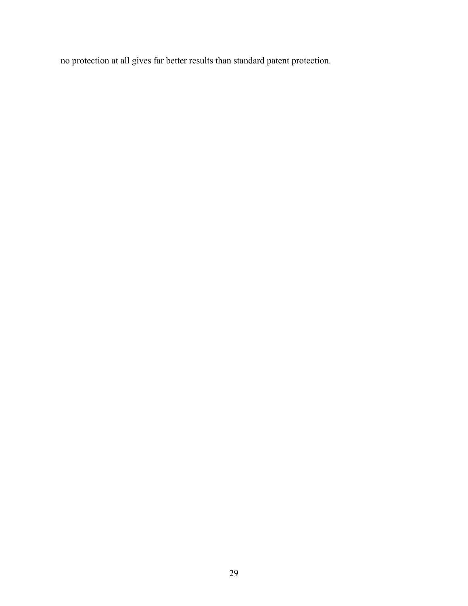no protection at all gives far better results than standard patent protection.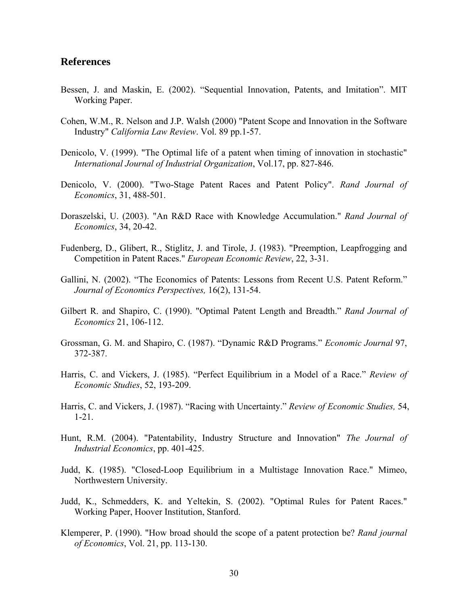#### **References**

- Bessen, J. and Maskin, E. (2002). "Sequential Innovation, Patents, and Imitation". MIT Working Paper.
- Cohen, W.M., R. Nelson and J.P. Walsh (2000) "Patent Scope and Innovation in the Software Industry" *California Law Review*. Vol. 89 pp.1-57.
- Denicolo, V. (1999). "The Optimal life of a patent when timing of innovation in stochastic" *International Journal of Industrial Organization*, Vol.17, pp. 827-846.
- Denicolo, V. (2000). "Two-Stage Patent Races and Patent Policy". *Rand Journal of Economics*, 31, 488-501.
- Doraszelski, U. (2003). "An R&D Race with Knowledge Accumulation." *Rand Journal of Economics*, 34, 20-42.
- Fudenberg, D., Glibert, R., Stiglitz, J. and Tirole, J. (1983). "Preemption, Leapfrogging and Competition in Patent Races." *European Economic Review*, 22, 3-31.
- Gallini, N. (2002). "The Economics of Patents: Lessons from Recent U.S. Patent Reform." *Journal of Economics Perspectives,* 16(2), 131-54.
- Gilbert R. and Shapiro, C. (1990). "Optimal Patent Length and Breadth." *Rand Journal of Economics* 21, 106-112.
- Grossman, G. M. and Shapiro, C. (1987). "Dynamic R&D Programs." *Economic Journal* 97, 372-387.
- Harris, C. and Vickers, J. (1985). "Perfect Equilibrium in a Model of a Race." *Review of Economic Studies*, 52, 193-209.
- Harris, C. and Vickers, J. (1987). "Racing with Uncertainty." *Review of Economic Studies,* 54, 1-21.
- Hunt, R.M. (2004). "Patentability, Industry Structure and Innovation" *The Journal of Industrial Economics*, pp. 401-425.
- Judd, K. (1985). "Closed-Loop Equilibrium in a Multistage Innovation Race." Mimeo, Northwestern University.
- Judd, K., Schmedders, K. and Yeltekin, S. (2002). "Optimal Rules for Patent Races." Working Paper, Hoover Institution, Stanford.
- Klemperer, P. (1990). "How broad should the scope of a patent protection be? *Rand journal of Economics*, Vol. 21, pp. 113-130.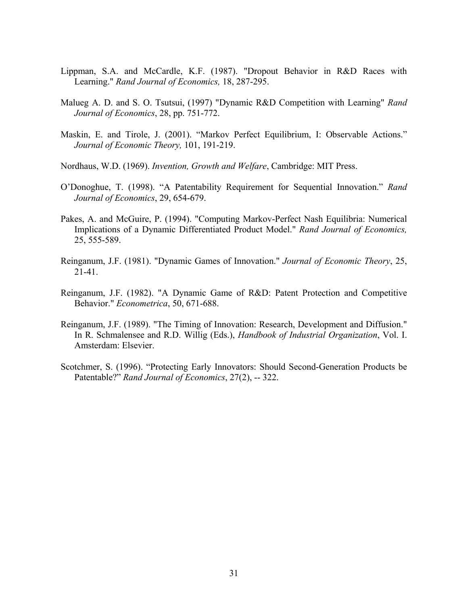- Lippman, S.A. and McCardle, K.F. (1987). "Dropout Behavior in R&D Races with Learning." *Rand Journal of Economics,* 18, 287-295.
- Malueg A. D. and S. O. Tsutsui, (1997) "Dynamic R&D Competition with Learning" *Rand Journal of Economics*, 28, pp. 751-772.
- Maskin, E. and Tirole, J. (2001). "Markov Perfect Equilibrium, I: Observable Actions." *Journal of Economic Theory,* 101, 191-219.
- Nordhaus, W.D. (1969). *Invention, Growth and Welfare*, Cambridge: MIT Press.
- O'Donoghue, T. (1998). "A Patentability Requirement for Sequential Innovation." *Rand Journal of Economics*, 29, 654-679.
- Pakes, A. and McGuire, P. (1994). "Computing Markov-Perfect Nash Equilibria: Numerical Implications of a Dynamic Differentiated Product Model." *Rand Journal of Economics,* 25, 555-589.
- Reinganum, J.F. (1981). "Dynamic Games of Innovation." *Journal of Economic Theory*, 25, 21-41.
- Reinganum, J.F. (1982). "A Dynamic Game of R&D: Patent Protection and Competitive Behavior." *Econometrica*, 50, 671-688.
- Reinganum, J.F. (1989). "The Timing of Innovation: Research, Development and Diffusion." In R. Schmalensee and R.D. Willig (Eds.), *Handbook of Industrial Organization*, Vol. I. Amsterdam: Elsevier.
- Scotchmer, S. (1996). "Protecting Early Innovators: Should Second-Generation Products be Patentable?" *Rand Journal of Economics*, 27(2), -- 322.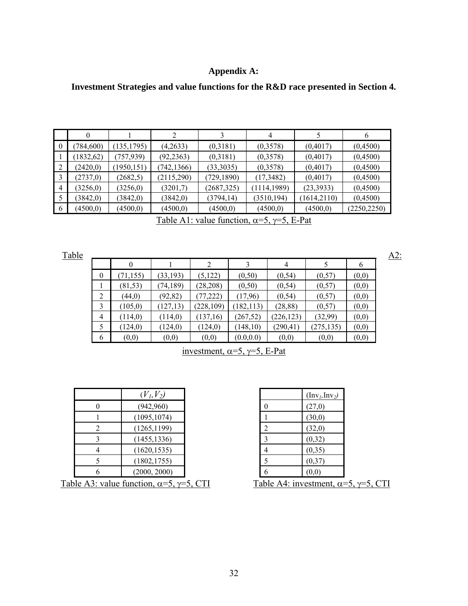### **Appendix A:**

## **Investment Strategies and value functions for the R&D race presented in Section 4.**

|          | 0          |             |             |             | 4            |              | b            |
|----------|------------|-------------|-------------|-------------|--------------|--------------|--------------|
| $\theta$ | (784, 600) | (135, 1795) | (4,2633)    | (0,3181)    | (0,3578)     | (0,4017)     | (0,4500)     |
|          | (1832, 62) | (757, 939)  | (92, 2363)  | (0,3181)    | (0,3578)     | (0,4017)     | (0,4500)     |
|          | (2420,0)   | (1950, 151) | (742, 1366) | (33,3035)   | (0,3578)     | (0,4017)     | (0,4500)     |
|          | (2737,0)   | (2682,5)    | (2115,290)  | (729, 1890) | (17,3482)    | (0,4017)     | (0,4500)     |
| 4        | (3256, 0)  | (3256,0)    | (3201,7)    | (2687,325)  | (1114, 1989) | (23, 3933)   | (0,4500)     |
|          | (3842,0)   | (3842,0)    | (3842,0)    | (3794, 14)  | (3510, 194)  | (1614, 2110) | (0,4500)     |
| 6        | (4500,0)   | (4500,0)    | (4500,0)    | (4500, 0)   | (4500,0)     | (4500,0)     | (2250, 2250) |

Table A1: value function,  $\alpha = 5$ ,  $\gamma = 5$ , E-Pat

|                  | 0         |           | 2          | 3          | 4          |            | 6     |
|------------------|-----------|-----------|------------|------------|------------|------------|-------|
| $\boldsymbol{0}$ | (71, 155) | (33, 193) | (5, 122)   | (0,50)     | (0, 54)    | (0,57)     | (0,0) |
|                  | (81, 53)  | (74, 189) | (28, 208)  | (0,50)     | (0, 54)    | (0,57)     | (0,0) |
| 2                | (44,0)    | (92, 82)  | (77, 222)  | (17,96)    | (0, 54)    | (0,57)     | (0,0) |
| 3                | (105, 0)  | (127, 13) | (228, 109) | (182, 113) | (28, 88)   | (0,57)     | (0,0) |
| $\overline{4}$   | (114,0)   | (114,0)   | (137,16)   | (267, 52)  | (226, 123) | (32,99)    | (0,0) |
| 5                | (124,0)   | (124, 0)  | (124, 0)   | (148, 10)  | (290, 41)  | (275, 135) | (0,0) |
| 6                | (0,0)     | (0,0)     | (0,0)      | (0.0, 0.0) | (0,0)      | (0,0)      | (0,0) |

# investment,  $\alpha=5$ ,  $\gamma=5$ , E-Pat

|   | $(V_1, V_2)$ |                  | $(\text{Inv}_l, \text{Inv}_2)$ |
|---|--------------|------------------|--------------------------------|
|   | (942,960)    | $\boldsymbol{0}$ | (27,0)                         |
|   | (1095, 1074) |                  | (30,0)                         |
| 2 | (1265, 1199) | $\overline{2}$   | (32,0)                         |
|   | (1455, 1336) |                  | (0,32)                         |
|   | (1620, 1535) | 4                | (0, 35)                        |
|   | (1802, 1755) |                  | (0,37)                         |
|   | (2000, 2000) | 6                | (0,0)                          |
|   |              |                  |                                |

|                | $(\text{Inv}_l, \text{Inv}_2)$ |
|----------------|--------------------------------|
| 0              | (27,0)                         |
| 1              | (30,0)                         |
| $\overline{c}$ | (32,0)                         |
| 3              | (0,32)                         |
| 4              | (0, 35)                        |
| 5              | (0,37)                         |
| h              | (0,0)                          |

Table A3: value function,  $\alpha = 5$ ,  $\gamma = 5$ , CTI Table A4: investment,  $\alpha = 5$ ,  $\gamma = 5$ , CTI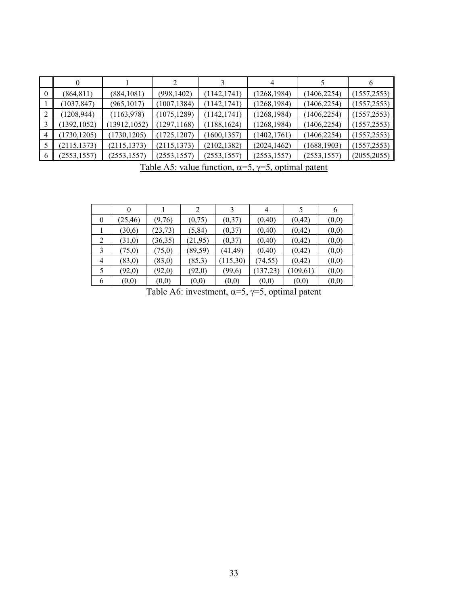|   |              |               |              |              |              |              | 6            |
|---|--------------|---------------|--------------|--------------|--------------|--------------|--------------|
|   | (864, 811)   | (884, 1081)   | (998, 1402)  | (1142, 1741) | (1268, 1984) | (1406, 2254) | (1557, 2553) |
|   | (1037, 847)  | (965, 1017)   | (1007, 1384) | (1142, 1741) | (1268, 1984) | (1406, 2254) | (1557, 2553) |
|   | (1208, 944)  | (1163,978)    | (1075, 1289) | (1142, 1741) | (1268, 1984) | (1406, 2254) | (1557, 2553) |
|   | (1392, 1052) | (13912, 1052) | (1297, 1168) | (1188, 1624) | (1268, 1984) | (1406, 2254) | (1557, 2553) |
| 4 | (1730, 1205) | (1730, 1205)  | (1725, 1207) | (1600, 1357) | (1402, 1761) | (1406, 2254) | (1557, 2553) |
|   | (2115, 1373) | (2115, 1373)  | (2115, 1373) | (2102, 1382) | (2024, 1462) | (1688, 1903) | (1557, 2553) |
|   | (2553, 1557) | (2553, 1557)  | (2553, 1557) | (2553, 1557) | (2553, 1557) | (2553, 1557) | (2055, 2055) |

Table A5: value function,  $\alpha = 5$ ,  $\gamma = 5$ , optimal patent

|                | $\theta$                                                                                                                                             |          |          |          | 4         |          | 6     |  |  |  |
|----------------|------------------------------------------------------------------------------------------------------------------------------------------------------|----------|----------|----------|-----------|----------|-------|--|--|--|
| $\overline{0}$ | (25, 46)                                                                                                                                             | (9,76)   | (0,75)   | (0,37)   | (0, 40)   | (0,42)   | (0,0) |  |  |  |
|                | (30,6)                                                                                                                                               | (23, 73) | (5, 84)  | (0,37)   | (0, 40)   | (0,42)   | (0,0) |  |  |  |
| 2              | (31,0)                                                                                                                                               | (36,35)  | (21,95)  | (0,37)   | (0, 40)   | (0, 42)  | (0,0) |  |  |  |
| 3              | (75,0)                                                                                                                                               | (75,0)   | (89, 59) | (41, 49) | (0,40)    | (0,42)   | (0,0) |  |  |  |
| $\overline{4}$ | (83,0)                                                                                                                                               | (83,0)   | (85,3)   | (115,30) | (74, 55)  | (0, 42)  | (0,0) |  |  |  |
| 5              | (92,0)                                                                                                                                               | (92,0)   | (92,0)   | (99,6)   | (137, 23) | (109,61) | (0,0) |  |  |  |
| 6              | (0,0)                                                                                                                                                | (0,0)    | (0,0)    | (0,0)    | (0,0)     | (0,0)    | (0,0) |  |  |  |
|                | $-11$<br>$\sim$<br>$\cdot$ . $\cdot$<br>$\mathbf{1}$<br>$\overline{\phantom{a}}$<br>$\overline{\phantom{0}}$<br>$\sim$<br>$\sim$<br>$\sim$<br>$\sim$ |          |          |          |           |          |       |  |  |  |

Table A6: investment,  $\alpha=5$ ,  $\gamma=5$ , optimal patent